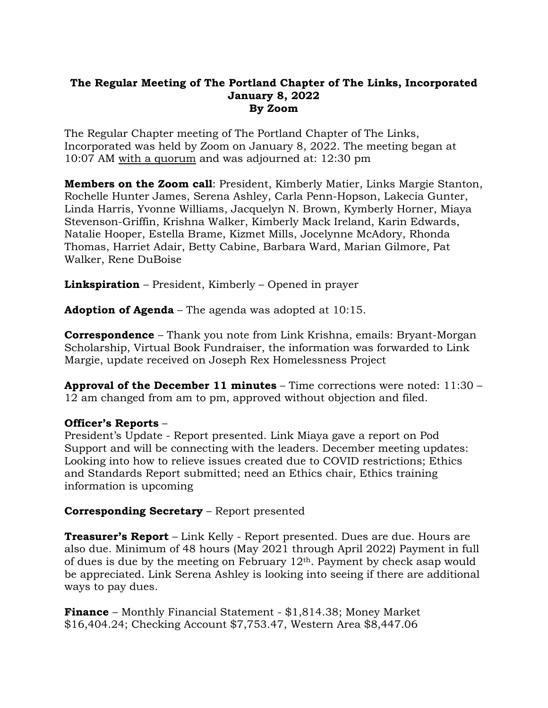## **The Regular Meeting of The Portland Chapter of The Links, Incorporated January 8, 2022 By Zoom**

The Regular Chapter meeting of The Portland Chapter of The Links, Incorporated was held by Zoom on January 8, 2022. The meeting began at 10:07 AM with a quorum and was adjourned at: 12:30 pm

**Members on the Zoom call**: President, Kimberly Matier, Links Margie Stanton, Rochelle Hunter James, Serena Ashley, Carla Penn-Hopson, Lakecia Gunter, Linda Harris, Yvonne Williams, Jacquelyn N. Brown, Kymberly Horner, Miaya Stevenson-Griffin, Krishna Walker, Kimberly Mack Ireland, Karin Edwards, Natalie Hooper, Estella Brame, Kizmet Mills, Jocelynne McAdory, Rhonda Thomas, Harriet Adair, Betty Cabine, Barbara Ward, Marian Gilmore, Pat Walker, Rene DuBoise

**Linkspiration** – President, Kimberly – Opened in prayer

**Adoption of Agenda** – The agenda was adopted at 10:15.

**Correspondence** – Thank you note from Link Krishna, emails: Bryant-Morgan Scholarship, Virtual Book Fundraiser, the information was forwarded to Link Margie, update received on Joseph Rex Homelessness Project

**Approval of the December 11 minutes** – Time corrections were noted: 11:30 – 12 am changed from am to pm, approved without objection and filed.

## **Officer's Reports** –

President's Update - Report presented. Link Miaya gave a report on Pod Support and will be connecting with the leaders. December meeting updates: Looking into how to relieve issues created due to COVID restrictions; Ethics and Standards Report submitted; need an Ethics chair, Ethics training information is upcoming

## **Corresponding Secretary** – Report presented

**Treasurer's Report** – Link Kelly - Report presented. Dues are due. Hours are also due. Minimum of 48 hours (May 2021 through April 2022) Payment in full of dues is due by the meeting on February  $12<sup>th</sup>$ . Payment by check asap would be appreciated. Link Serena Ashley is looking into seeing if there are additional ways to pay dues.

**Finance** – Monthly Financial Statement - \$1,814.38; Money Market \$16,404.24; Checking Account \$7,753.47, Western Area \$8,447.06